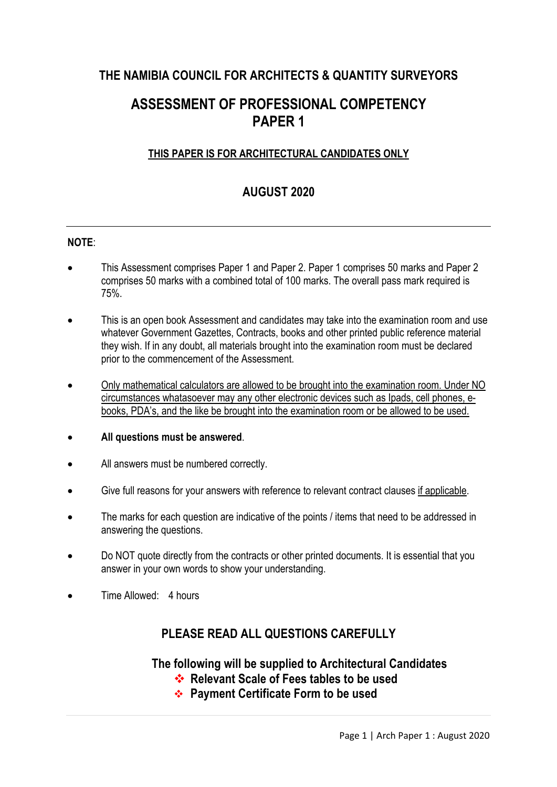## **THE NAMIBIA COUNCIL FOR ARCHITECTS & QUANTITY SURVEYORS**

# **ASSESSMENT OF PROFESSIONAL COMPETENCY PAPER 1**

#### **THIS PAPER IS FOR ARCHITECTURAL CANDIDATES ONLY**

### **AUGUST 2020**

#### **NOTE**:

- This Assessment comprises Paper 1 and Paper 2. Paper 1 comprises 50 marks and Paper 2 comprises 50 marks with a combined total of 100 marks. The overall pass mark required is 75%.
- This is an open book Assessment and candidates may take into the examination room and use whatever Government Gazettes, Contracts, books and other printed public reference material they wish. If in any doubt, all materials brought into the examination room must be declared prior to the commencement of the Assessment.
- Only mathematical calculators are allowed to be brought into the examination room. Under NO circumstances whatasoever may any other electronic devices such as Ipads, cell phones, ebooks, PDA's, and the like be brought into the examination room or be allowed to be used.
- **All questions must be answered**.
- All answers must be numbered correctly.
- Give full reasons for your answers with reference to relevant contract clauses if applicable.
- The marks for each question are indicative of the points / items that need to be addressed in answering the questions.
- Do NOT quote directly from the contracts or other printed documents. It is essential that you answer in your own words to show your understanding.
- Time Allowed: 4 hours

### **PLEASE READ ALL QUESTIONS CAREFULLY**

#### **The following will be supplied to Architectural Candidates**

- **<sup>◆</sup>** Relevant Scale of Fees tables to be used
- **❖ Payment Certificate Form to be used**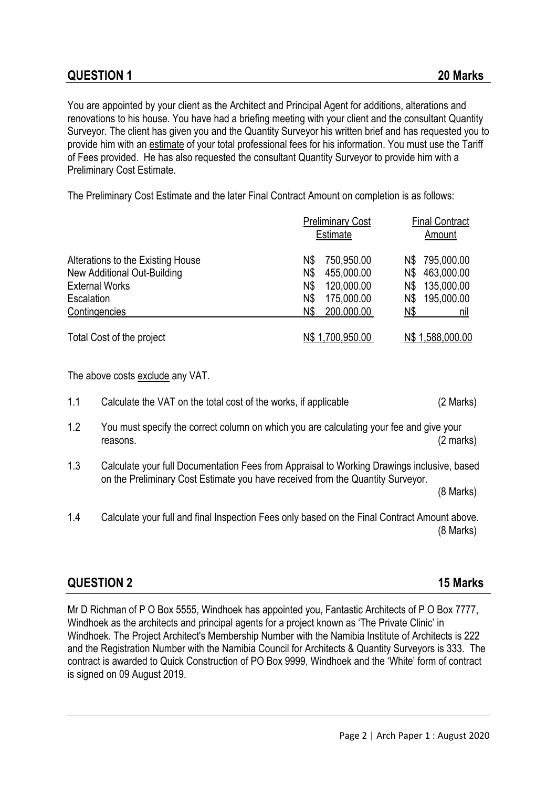You are appointed by your client as the Architect and Principal Agent for additions, alterations and renovations to his house. You have had a briefing meeting with your client and the consultant Quantity Surveyor. The client has given you and the Quantity Surveyor his written brief and has requested you to provide him with an estimate of your total professional fees for his information. You must use the Tariff of Fees provided. He has also requested the consultant Quantity Surveyor to provide him with a Preliminary Cost Estimate.

The Preliminary Cost Estimate and the later Final Contract Amount on completion is as follows:

|                                   | <b>Preliminary Cost</b><br><b>Estimate</b> | <b>Final Contract</b><br>Amount |  |
|-----------------------------------|--------------------------------------------|---------------------------------|--|
| Alterations to the Existing House | 750,950.00<br>N\$                          | 795,000.00<br>N\$               |  |
| New Additional Out-Building       | N\$<br>455,000.00                          | 463,000.00<br>N\$               |  |
| <b>External Works</b>             | 120,000.00<br>N\$                          | 135,000.00<br>N\$               |  |
| Escalation                        | 175,000.00<br>N\$                          | 195,000.00<br>N\$               |  |
| Contingencies                     | 200,000.00<br>N\$                          | N\$<br>nıl                      |  |
| Total Cost of the project         | N\$ 1,700,950.00                           | N\$ 1,588,000.00                |  |

The above costs exclude any VAT.

- 1.1 Calculate the VAT on the total cost of the works, if applicable (2 Marks)
- 1.2 You must specify the correct column on which you are calculating your fee and give your reasons. (2 marks)
- 1.3 Calculate your full Documentation Fees from Appraisal to Working Drawings inclusive, based on the Preliminary Cost Estimate you have received from the Quantity Surveyor.

(8 Marks)

1.4 Calculate your full and final Inspection Fees only based on the Final Contract Amount above. (8 Marks)

#### **QUESTION 2 15 Marks**

Mr D Richman of P O Box 5555, Windhoek has appointed you, Fantastic Architects of P O Box 7777, Windhoek as the architects and principal agents for a project known as 'The Private Clinic' in Windhoek. The Project Architect's Membership Number with the Namibia Institute of Architects is 222 and the Registration Number with the Namibia Council for Architects & Quantity Surveyors is 333. The contract is awarded to Quick Construction of PO Box 9999, Windhoek and the 'White' form of contract is signed on 09 August 2019.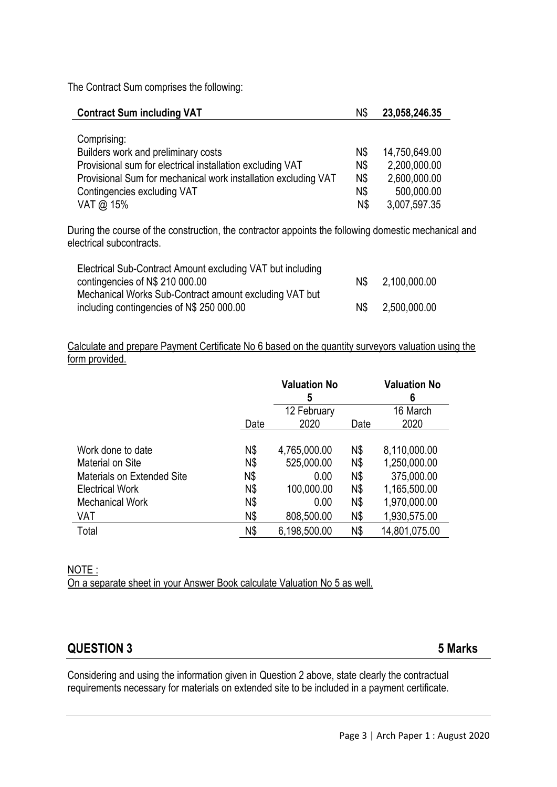The Contract Sum comprises the following:

| <b>Contract Sum including VAT</b>                                                                                                                                                                                             |                                        | 23,058,246.35                                                               |
|-------------------------------------------------------------------------------------------------------------------------------------------------------------------------------------------------------------------------------|----------------------------------------|-----------------------------------------------------------------------------|
| Comprising:<br>Builders work and preliminary costs<br>Provisional sum for electrical installation excluding VAT<br>Provisional Sum for mechanical work installation excluding VAT<br>Contingencies excluding VAT<br>VAT @ 15% | N\$<br>N\$<br>N\$<br>N\$<br><b>N\$</b> | 14,750,649.00<br>2,200,000.00<br>2,600,000.00<br>500,000.00<br>3,007,597.35 |

During the course of the construction, the contractor appoints the following domestic mechanical and electrical subcontracts.

| Electrical Sub-Contract Amount excluding VAT but including |     |              |
|------------------------------------------------------------|-----|--------------|
| contingencies of N\$ 210 000.00                            | N\$ | 2,100,000.00 |
| Mechanical Works Sub-Contract amount excluding VAT but     |     |              |
| including contingencies of N\$ 250 000.00                  | N\$ | 2,500,000.00 |

Calculate and prepare Payment Certificate No 6 based on the quantity surveyors valuation using the form provided.

|                                   |      | <b>Valuation No</b><br>ა |      | <b>Valuation No</b><br>6 |
|-----------------------------------|------|--------------------------|------|--------------------------|
|                                   |      | 12 February              |      | 16 March                 |
|                                   | Date | 2020                     | Date | 2020                     |
|                                   |      |                          |      |                          |
| Work done to date                 | N\$  | 4,765,000.00             | N\$  | 8,110,000.00             |
| Material on Site                  | N\$  | 525,000.00               | N\$  | 1,250,000.00             |
| <b>Materials on Extended Site</b> | N\$  | 0.00                     | N\$  | 375,000.00               |
| <b>Electrical Work</b>            | N\$  | 100,000.00               | N\$  | 1,165,500.00             |
| <b>Mechanical Work</b>            | N\$  | 0.00                     | N\$  | 1,970,000.00             |
| VAT                               | N\$  | 808,500.00               | N\$  | 1,930,575.00             |
| Total                             | N\$  | 6,198,500.00             | N\$  | 14,801,075.00            |

#### NOTE :

On a separate sheet in your Answer Book calculate Valuation No 5 as well.

#### **QUESTION 3 5 Marks**

Considering and using the information given in Question 2 above, state clearly the contractual requirements necessary for materials on extended site to be included in a payment certificate.